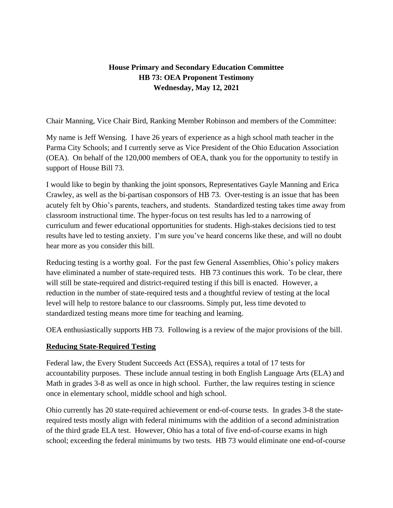# **House Primary and Secondary Education Committee HB 73: OEA Proponent Testimony Wednesday, May 12, 2021**

Chair Manning, Vice Chair Bird, Ranking Member Robinson and members of the Committee:

My name is Jeff Wensing. I have 26 years of experience as a high school math teacher in the Parma City Schools; and I currently serve as Vice President of the Ohio Education Association (OEA). On behalf of the 120,000 members of OEA, thank you for the opportunity to testify in support of House Bill 73.

I would like to begin by thanking the joint sponsors, Representatives Gayle Manning and Erica Crawley, as well as the bi-partisan cosponsors of HB 73. Over-testing is an issue that has been acutely felt by Ohio's parents, teachers, and students. Standardized testing takes time away from classroom instructional time. The hyper-focus on test results has led to a narrowing of curriculum and fewer educational opportunities for students. High-stakes decisions tied to test results have led to testing anxiety. I'm sure you've heard concerns like these, and will no doubt hear more as you consider this bill.

Reducing testing is a worthy goal. For the past few General Assemblies, Ohio's policy makers have eliminated a number of state-required tests. HB 73 continues this work. To be clear, there will still be state-required and district-required testing if this bill is enacted. However, a reduction in the number of state-required tests and a thoughtful review of testing at the local level will help to restore balance to our classrooms. Simply put, less time devoted to standardized testing means more time for teaching and learning.

OEA enthusiastically supports HB 73. Following is a review of the major provisions of the bill.

#### **Reducing State-Required Testing**

Federal law, the Every Student Succeeds Act (ESSA), requires a total of 17 tests for accountability purposes. These include annual testing in both English Language Arts (ELA) and Math in grades 3-8 as well as once in high school. Further, the law requires testing in science once in elementary school, middle school and high school.

Ohio currently has 20 state-required achievement or end-of-course tests. In grades 3-8 the staterequired tests mostly align with federal minimums with the addition of a second administration of the third grade ELA test. However, Ohio has a total of five end-of-course exams in high school; exceeding the federal minimums by two tests. HB 73 would eliminate one end-of-course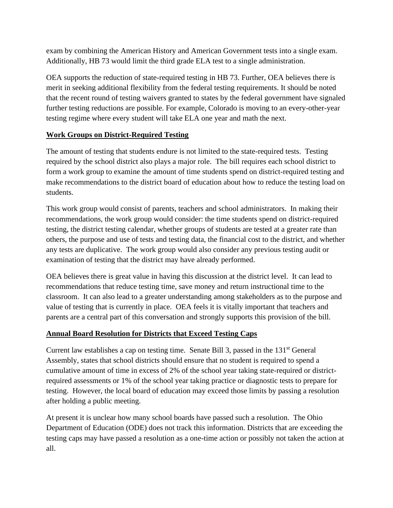exam by combining the American History and American Government tests into a single exam. Additionally, HB 73 would limit the third grade ELA test to a single administration.

OEA supports the reduction of state-required testing in HB 73. Further, OEA believes there is merit in seeking additional flexibility from the federal testing requirements. It should be noted that the recent round of testing waivers granted to states by the federal government have signaled further testing reductions are possible. For example, Colorado is moving to an every-other-year testing regime where every student will take ELA one year and math the next.

### **Work Groups on District-Required Testing**

The amount of testing that students endure is not limited to the state-required tests. Testing required by the school district also plays a major role. The bill requires each school district to form a work group to examine the amount of time students spend on district-required testing and make recommendations to the district board of education about how to reduce the testing load on students.

This work group would consist of parents, teachers and school administrators. In making their recommendations, the work group would consider: the time students spend on district-required testing, the district testing calendar, whether groups of students are tested at a greater rate than others, the purpose and use of tests and testing data, the financial cost to the district, and whether any tests are duplicative. The work group would also consider any previous testing audit or examination of testing that the district may have already performed.

OEA believes there is great value in having this discussion at the district level. It can lead to recommendations that reduce testing time, save money and return instructional time to the classroom. It can also lead to a greater understanding among stakeholders as to the purpose and value of testing that is currently in place. OEA feels it is vitally important that teachers and parents are a central part of this conversation and strongly supports this provision of the bill.

### **Annual Board Resolution for Districts that Exceed Testing Caps**

Current law establishes a cap on testing time. Senate Bill 3, passed in the  $131<sup>st</sup>$  General Assembly, states that school districts should ensure that no student is required to spend a cumulative amount of time in excess of 2% of the school year taking state-required or districtrequired assessments or 1% of the school year taking practice or diagnostic tests to prepare for testing. However, the local board of education may exceed those limits by passing a resolution after holding a public meeting.

At present it is unclear how many school boards have passed such a resolution. The Ohio Department of Education (ODE) does not track this information. Districts that are exceeding the testing caps may have passed a resolution as a one-time action or possibly not taken the action at all.